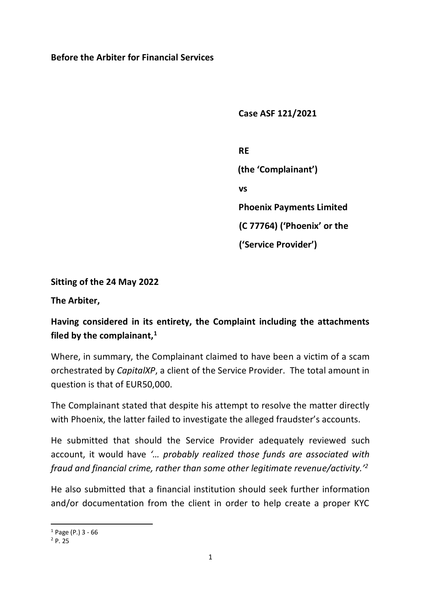**Before the Arbiter for Financial Services**

 **Case ASF 121/2021**

*RE* REPORT AND RESPONDED ASSOCIATED AT A REPORT OF A REPORT OF A REPORT OF A REPORT OF A REPORT OF A REPORT OF A REPORT OF A REPORT OF A REPORT OF A REPORT OF A REPORT OF A REPORT OF A REPORT OF A REPORT OF A REPORT OF  **(the 'Complainant') vs Phoenix Payments Limited (C 77764) ('Phoenix' or the ('Service Provider')** 

**Sitting of the 24 May 2022**

**The Arbiter,**

# **Having considered in its entirety, the Complaint including the attachments filed by the complainant,<sup>1</sup>**

Where, in summary, the Complainant claimed to have been a victim of a scam orchestrated by *CapitalXP*, a client of the Service Provider. The total amount in question is that of EUR50,000.

The Complainant stated that despite his attempt to resolve the matter directly with Phoenix, the latter failed to investigate the alleged fraudster's accounts.

He submitted that should the Service Provider adequately reviewed such account, it would have *'… probably realized those funds are associated with fraud and financial crime, rather than some other legitimate revenue/activity.'<sup>2</sup>*

He also submitted that a financial institution should seek further information and/or documentation from the client in order to help create a proper KYC

 $1$  Page (P.) 3 - 66

<sup>2</sup> P. 25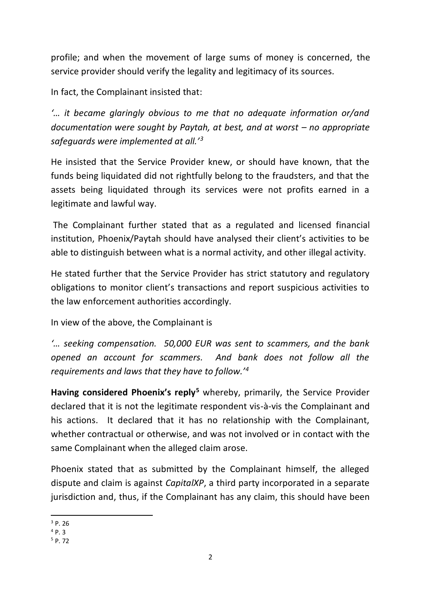profile; and when the movement of large sums of money is concerned, the service provider should verify the legality and legitimacy of its sources.

In fact, the Complainant insisted that:

*'… it became glaringly obvious to me that no adequate information or/and documentation were sought by Paytah, at best, and at worst – no appropriate safeguards were implemented at all.'<sup>3</sup>*

He insisted that the Service Provider knew, or should have known, that the funds being liquidated did not rightfully belong to the fraudsters, and that the assets being liquidated through its services were not profits earned in a legitimate and lawful way.

The Complainant further stated that as a regulated and licensed financial institution, Phoenix/Paytah should have analysed their client's activities to be able to distinguish between what is a normal activity, and other illegal activity.

He stated further that the Service Provider has strict statutory and regulatory obligations to monitor client's transactions and report suspicious activities to the law enforcement authorities accordingly.

In view of the above, the Complainant is

*'… seeking compensation. 50,000 EUR was sent to scammers, and the bank opened an account for scammers. And bank does not follow all the requirements and laws that they have to follow.'<sup>4</sup>*

**Having considered Phoenix's reply<sup>5</sup>** whereby, primarily, the Service Provider declared that it is not the legitimate respondent vis-à-vis the Complainant and his actions. It declared that it has no relationship with the Complainant, whether contractual or otherwise, and was not involved or in contact with the same Complainant when the alleged claim arose.

Phoenix stated that as submitted by the Complainant himself, the alleged dispute and claim is against *CapitalXP*, a third party incorporated in a separate jurisdiction and, thus, if the Complainant has any claim, this should have been

<sup>3</sup> P. 26

 $^{4}P.3$ 

 $5$  P. 72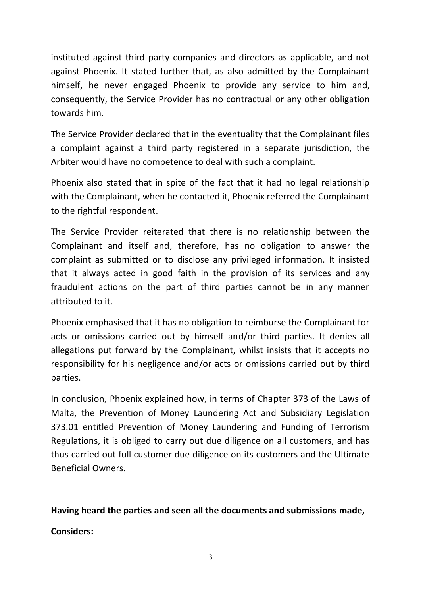instituted against third party companies and directors as applicable, and not against Phoenix. It stated further that, as also admitted by the Complainant himself, he never engaged Phoenix to provide any service to him and, consequently, the Service Provider has no contractual or any other obligation towards him.

The Service Provider declared that in the eventuality that the Complainant files a complaint against a third party registered in a separate jurisdiction, the Arbiter would have no competence to deal with such a complaint.

Phoenix also stated that in spite of the fact that it had no legal relationship with the Complainant, when he contacted it, Phoenix referred the Complainant to the rightful respondent.

The Service Provider reiterated that there is no relationship between the Complainant and itself and, therefore, has no obligation to answer the complaint as submitted or to disclose any privileged information. It insisted that it always acted in good faith in the provision of its services and any fraudulent actions on the part of third parties cannot be in any manner attributed to it.

Phoenix emphasised that it has no obligation to reimburse the Complainant for acts or omissions carried out by himself and/or third parties. It denies all allegations put forward by the Complainant, whilst insists that it accepts no responsibility for his negligence and/or acts or omissions carried out by third parties.

In conclusion, Phoenix explained how, in terms of Chapter 373 of the Laws of Malta, the Prevention of Money Laundering Act and Subsidiary Legislation 373.01 entitled Prevention of Money Laundering and Funding of Terrorism Regulations, it is obliged to carry out due diligence on all customers, and has thus carried out full customer due diligence on its customers and the Ultimate Beneficial Owners.

**Having heard the parties and seen all the documents and submissions made, Considers:**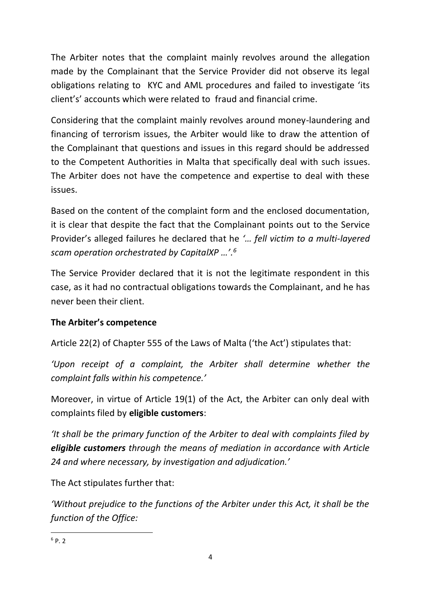The Arbiter notes that the complaint mainly revolves around the allegation made by the Complainant that the Service Provider did not observe its legal obligations relating to KYC and AML procedures and failed to investigate 'its client's' accounts which were related to fraud and financial crime.

Considering that the complaint mainly revolves around money-laundering and financing of terrorism issues, the Arbiter would like to draw the attention of the Complainant that questions and issues in this regard should be addressed to the Competent Authorities in Malta that specifically deal with such issues. The Arbiter does not have the competence and expertise to deal with these issues.

Based on the content of the complaint form and the enclosed documentation, it is clear that despite the fact that the Complainant points out to the Service Provider's alleged failures he declared that he *'… fell victim to a multi-layered scam operation orchestrated by CapitalXP …'. 6*

The Service Provider declared that it is not the legitimate respondent in this case, as it had no contractual obligations towards the Complainant, and he has never been their client.

#### **The Arbiter's competence**

Article 22(2) of Chapter 555 of the Laws of Malta ('the Act') stipulates that:

*'Upon receipt of a complaint, the Arbiter shall determine whether the complaint falls within his competence.'*

Moreover, in virtue of Article 19(1) of the Act, the Arbiter can only deal with complaints filed by **eligible customers**:

*'It shall be the primary function of the Arbiter to deal with complaints filed by eligible customers through the means of mediation in accordance with Article 24 and where necessary, by investigation and adjudication.'*

The Act stipulates further that:

*'Without prejudice to the functions of the Arbiter under this Act, it shall be the function of the Office:*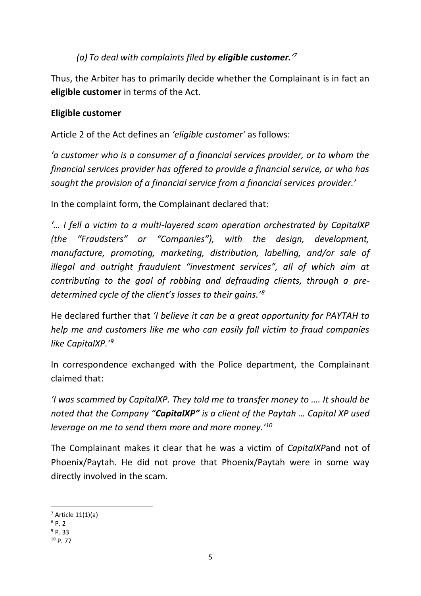# *(a) To deal with complaints filed by eligible customer.' 7*

Thus, the Arbiter has to primarily decide whether the Complainant is in fact an **eligible customer** in terms of the Act.

#### **Eligible customer**

Article 2 of the Act defines an *'eligible customer'* as follows:

*'a customer who is a consumer of a financial services provider, or to whom the financial services provider has offered to provide a financial service, or who has sought the provision of a financial service from a financial services provider.'*

In the complaint form, the Complainant declared that:

*'… I fell a victim to a multi-layered scam operation orchestrated by CapitalXP (the "Fraudsters" or "Companies"), with the design, development, manufacture, promoting, marketing, distribution, labelling, and/or sale of illegal and outright fraudulent "investment services", all of which aim at contributing to the goal of robbing and defrauding clients, through a predetermined cycle of the client's losses to their gains.'<sup>8</sup>*

He declared further that *'I believe it can be a great opportunity for PAYTAH to help me and customers like me who can easily fall victim to fraud companies like CapitalXP.'<sup>9</sup>*

In correspondence exchanged with the Police department, the Complainant claimed that:

*'I was scammed by CapitalXP. They told me to transfer money to …. It should be noted that the Company "CapitalXP" is a client of the Paytah … Capital XP used leverage on me to send them more and more money.'<sup>10</sup>*

The Complainant makes it clear that he was a victim of *CapitalXP*and not of Phoenix/Paytah. He did not prove that Phoenix/Paytah were in some way directly involved in the scam.

 $<sup>7</sup>$  Article 11(1)(a)</sup>

 $8p.2$ 

 $9P.33$ <sup>10</sup> P. 77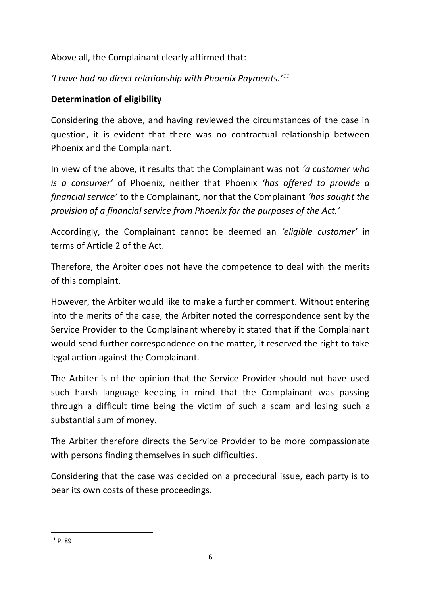Above all, the Complainant clearly affirmed that:

*'I have had no direct relationship with Phoenix Payments.'<sup>11</sup>*

## **Determination of eligibility**

Considering the above, and having reviewed the circumstances of the case in question, it is evident that there was no contractual relationship between Phoenix and the Complainant.

In view of the above, it results that the Complainant was not *'a customer who is a consumer'* of Phoenix, neither that Phoenix *'has offered to provide a financial service'* to the Complainant, nor that the Complainant *'has sought the provision of a financial service from Phoenix for the purposes of the Act.'* 

Accordingly, the Complainant cannot be deemed an *'eligible customer'* in terms of Article 2 of the Act.

Therefore, the Arbiter does not have the competence to deal with the merits of this complaint.

However, the Arbiter would like to make a further comment. Without entering into the merits of the case, the Arbiter noted the correspondence sent by the Service Provider to the Complainant whereby it stated that if the Complainant would send further correspondence on the matter, it reserved the right to take legal action against the Complainant.

The Arbiter is of the opinion that the Service Provider should not have used such harsh language keeping in mind that the Complainant was passing through a difficult time being the victim of such a scam and losing such a substantial sum of money.

The Arbiter therefore directs the Service Provider to be more compassionate with persons finding themselves in such difficulties.

Considering that the case was decided on a procedural issue, each party is to bear its own costs of these proceedings.

<sup>11</sup> P. 89